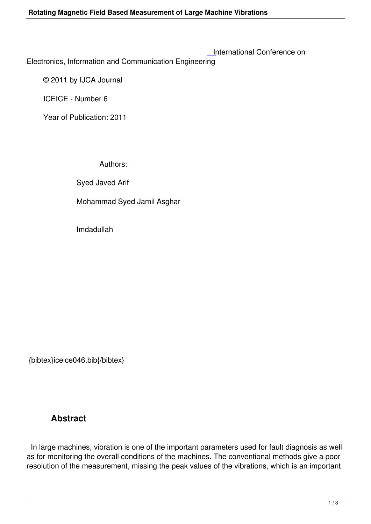Electronics, Information and Communication Engineering

 [©](http://research.ijcaonline.org/iceice/number6/iceice046.pdf) 2011 by IJCA Journal

ICEICE - Number 6

Year of Publication: 2011

Authors:

Syed Javed Arif

Mohammad Syed Jamil Asghar

Imdadullah

{bibtex}iceice046.bib{/bibtex}

## **Abstract**

 In large machines, vibration is one of the important parameters used for fault diagnosis as well as for monitoring the overall conditions of the machines. The conventional methods give a poor resolution of the measurement, missing the peak values of the vibrations, which is an important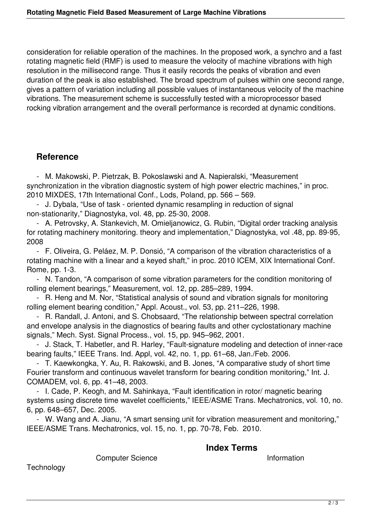consideration for reliable operation of the machines. In the proposed work, a synchro and a fast rotating magnetic field (RMF) is used to measure the velocity of machine vibrations with high resolution in the millisecond range. Thus it easily records the peaks of vibration and even duration of the peak is also established. The broad spectrum of pulses within one second range, gives a pattern of variation including all possible values of instantaneous velocity of the machine vibrations. The measurement scheme is successfully tested with a microprocessor based rocking vibration arrangement and the overall performance is recorded at dynamic conditions.

## **Reference**

 - M. Makowski, P. Pietrzak, B. Pokoslawski and A. Napieralski, "Measurement synchronization in the vibration diagnostic system of high power electric machines," in proc. 2010 MIXDES, 17th International Conf., Lods, Poland, pp. 566 – 569.

 - J. Dybala, "Use of task - oriented dynamic resampling in reduction of signal non-stationarity," Diagnostyka, vol. 48, pp. 25-30, 2008.

 - A. Petrovsky, A. Stankevich, M. Omieljanowicz, G. Rubin, "Digital order tracking analysis for rotating machinery monitoring. theory and implementation," Diagnostyka, vol .48, pp. 89-95, 2008

 - F. Oliveira, G. Peláez, M. P. Donsió, "A comparison of the vibration characteristics of a rotating machine with a linear and a keyed shaft," in proc. 2010 ICEM, XIX International Conf. Rome, pp. 1-3.

 - N. Tandon, "A comparison of some vibration parameters for the condition monitoring of rolling element bearings," Measurement, vol. 12, pp. 285–289, 1994.

 - R. Heng and M. Nor, "Statistical analysis of sound and vibration signals for monitoring rolling element bearing condition," Appl. Acoust., vol. 53, pp. 211–226, 1998.

 - R. Randall, J. Antoni, and S. Chobsaard, "The relationship between spectral correlation and envelope analysis in the diagnostics of bearing faults and other cyclostationary machine signals," Mech. Syst. Signal Process., vol. 15, pp. 945–962, 2001.

 - J. Stack, T. Habetler, and R. Harley, "Fault-signature modeling and detection of inner-race bearing faults," IEEE Trans. Ind. Appl, vol. 42, no. 1, pp. 61–68, Jan./Feb. 2006.

 - T. Kaewkongka, Y. Au, R. Rakowski, and B. Jones, "A comparative study of short time Fourier transform and continuous wavelet transform for bearing condition monitoring," Int. J. COMADEM, vol. 6, pp. 41–48, 2003.

 - I. Cade, P. Keogh, and M. Sahinkaya, "Fault identification in rotor/ magnetic bearing systems using discrete time wavelet coefficients," IEEE/ASME Trans. Mechatronics, vol. 10, no. 6, pp. 648–657, Dec. 2005.

 - W. Wang and A. Jianu, "A smart sensing unit for vibration measurement and monitoring," IEEE/ASME Trans. Mechatronics, vol. 15, no. 1, pp. 70-78, Feb. 2010.

## **Index Terms**

Computer Science **Information** 

**Technology**